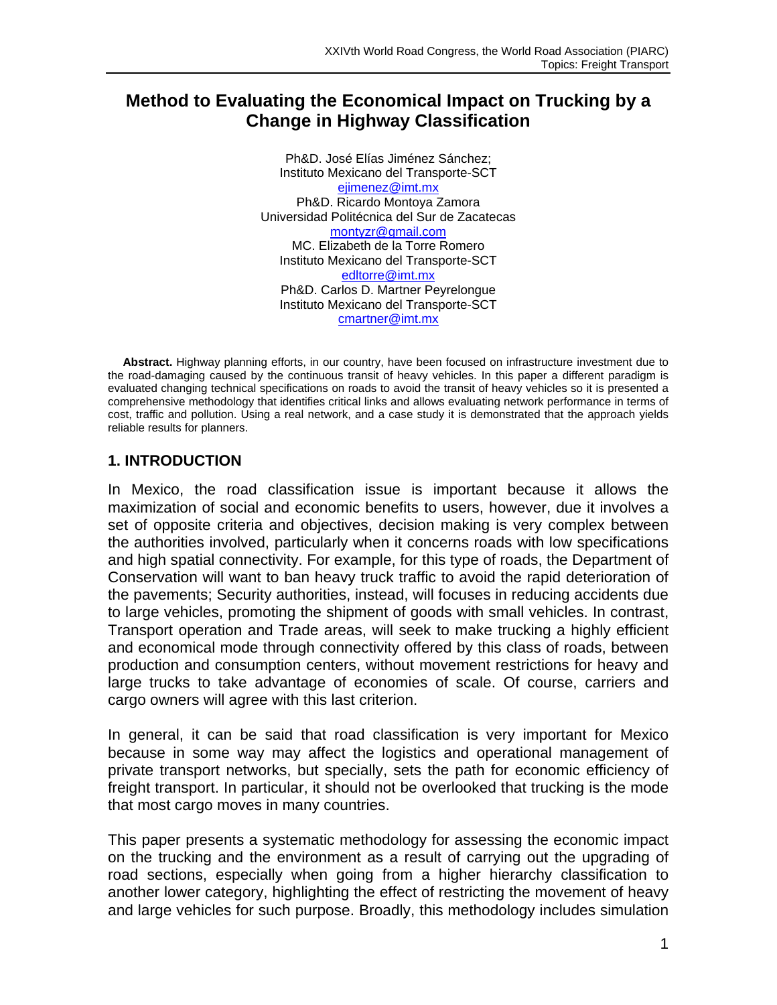# **Method to Evaluating the Economical Impact on Trucking by a Change in Highway Classification**

Ph&D. José Elías Jiménez Sánchez; Instituto Mexicano del Transporte-SCT ejimenez@imt.mx Ph&D. Ricardo Montoya Zamora Universidad Politécnica del Sur de Zacatecas montyzr@gmail.com MC. Elizabeth de la Torre Romero Instituto Mexicano del Transporte-SCT edltorre@imt.mx Ph&D. Carlos D. Martner Peyrelongue Instituto Mexicano del Transporte-SCT cmartner@imt.mx

**Abstract.** Highway planning efforts, in our country, have been focused on infrastructure investment due to the road-damaging caused by the continuous transit of heavy vehicles. In this paper a different paradigm is evaluated changing technical specifications on roads to avoid the transit of heavy vehicles so it is presented a comprehensive methodology that identifies critical links and allows evaluating network performance in terms of cost, traffic and pollution. Using a real network, and a case study it is demonstrated that the approach yields reliable results for planners.

# **1. INTRODUCTION**

In Mexico, the road classification issue is important because it allows the maximization of social and economic benefits to users, however, due it involves a set of opposite criteria and objectives, decision making is very complex between the authorities involved, particularly when it concerns roads with low specifications and high spatial connectivity. For example, for this type of roads, the Department of Conservation will want to ban heavy truck traffic to avoid the rapid deterioration of the pavements; Security authorities, instead, will focuses in reducing accidents due to large vehicles, promoting the shipment of goods with small vehicles. In contrast, Transport operation and Trade areas, will seek to make trucking a highly efficient and economical mode through connectivity offered by this class of roads, between production and consumption centers, without movement restrictions for heavy and large trucks to take advantage of economies of scale. Of course, carriers and cargo owners will agree with this last criterion.

In general, it can be said that road classification is very important for Mexico because in some way may affect the logistics and operational management of private transport networks, but specially, sets the path for economic efficiency of freight transport. In particular, it should not be overlooked that trucking is the mode that most cargo moves in many countries.

This paper presents a systematic methodology for assessing the economic impact on the trucking and the environment as a result of carrying out the upgrading of road sections, especially when going from a higher hierarchy classification to another lower category, highlighting the effect of restricting the movement of heavy and large vehicles for such purpose. Broadly, this methodology includes simulation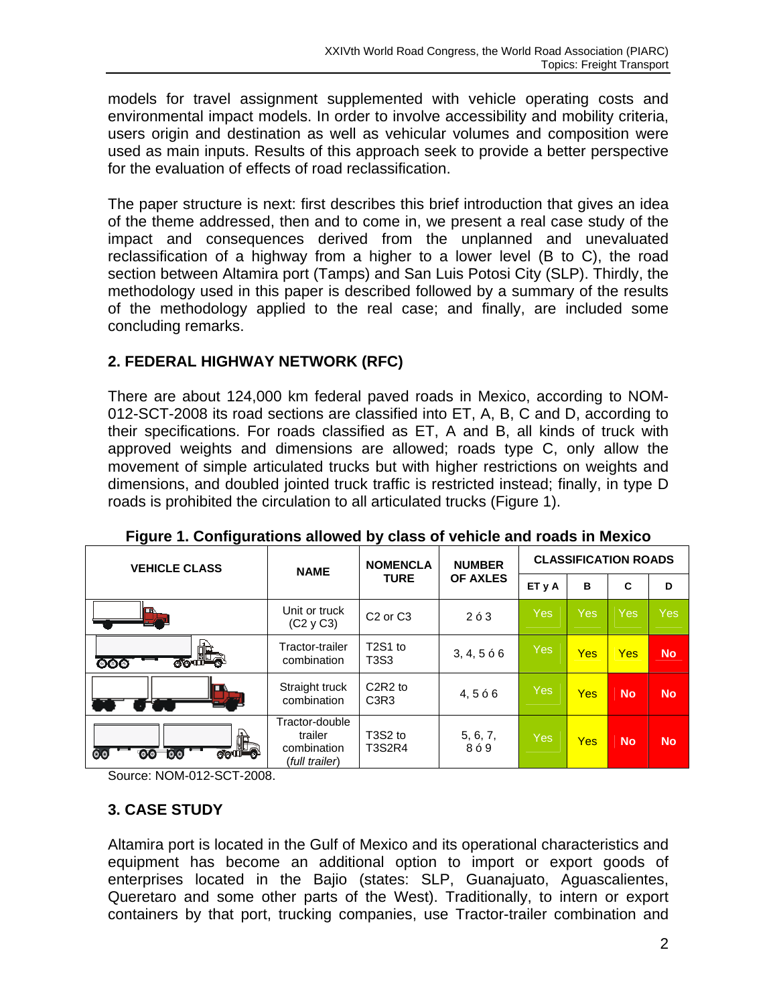models for travel assignment supplemented with vehicle operating costs and environmental impact models. In order to involve accessibility and mobility criteria, users origin and destination as well as vehicular volumes and composition were used as main inputs. Results of this approach seek to provide a better perspective for the evaluation of effects of road reclassification.

The paper structure is next: first describes this brief introduction that gives an idea of the theme addressed, then and to come in, we present a real case study of the impact and consequences derived from the unplanned and unevaluated reclassification of a highway from a higher to a lower level (B to C), the road section between Altamira port (Tamps) and San Luis Potosi City (SLP). Thirdly, the methodology used in this paper is described followed by a summary of the results of the methodology applied to the real case; and finally, are included some concluding remarks.

# **2. FEDERAL HIGHWAY NETWORK (RFC)**

There are about 124,000 km federal paved roads in Mexico, according to NOM-012-SCT-2008 its road sections are classified into ET, A, B, C and D, according to their specifications. For roads classified as ET, A and B, all kinds of truck with approved weights and dimensions are allowed; roads type C, only allow the movement of simple articulated trucks but with higher restrictions on weights and dimensions, and doubled jointed truck traffic is restricted instead; finally, in type D roads is prohibited the circulation to all articulated trucks (Figure 1).

| <b>VEHICLE CLASS</b> | <b>NAME</b>                                                | <b>NOMENCLA</b>                                                   | <b>NUMBER</b>   | <b>CLASSIFICATION ROADS</b> |            |            |            |
|----------------------|------------------------------------------------------------|-------------------------------------------------------------------|-----------------|-----------------------------|------------|------------|------------|
|                      | <b>TURE</b>                                                |                                                                   | <b>OF AXLES</b> | ET <sub>y</sub> A           | в          | C          | D          |
|                      | Unit or truck<br>(C2 y C3)                                 | C <sub>2</sub> or C <sub>3</sub>                                  | 263             | <b>Yes</b>                  | Yes        | <b>Yes</b> | <b>Yes</b> |
| 一天地<br>ၜၜၜ           | Tractor-trailer<br>combination                             | T <sub>2</sub> S <sub>1</sub> to<br>T3S3                          | 3, 4, 566       | Yes                         | <b>Yes</b> | <b>Yes</b> | <b>No</b>  |
|                      | Straight truck<br>combination                              | C <sub>2</sub> R <sub>2</sub> to<br>C <sub>3</sub> R <sub>3</sub> | 4,566           | <b>Yes</b>                  | <b>Yes</b> | <b>No</b>  | <b>No</b>  |
| 一天的<br>O<br>O(9)     | Tractor-double<br>trailer<br>combination<br>(full trailer) | T <sub>3</sub> S <sub>2</sub> to<br><b>T3S2R4</b>                 | 5, 6, 7,<br>8ó9 | <b>Yes</b>                  | <b>Yes</b> | <b>No</b>  | <b>No</b>  |

**Figure 1. Configurations allowed by class of vehicle and roads in Mexico** 

Source: NOM-012-SCT-2008.

# **3. CASE STUDY**

Altamira port is located in the Gulf of Mexico and its operational characteristics and equipment has become an additional option to import or export goods of enterprises located in the Bajio (states: SLP, Guanajuato, Aguascalientes, Queretaro and some other parts of the West). Traditionally, to intern or export containers by that port, trucking companies, use Tractor-trailer combination and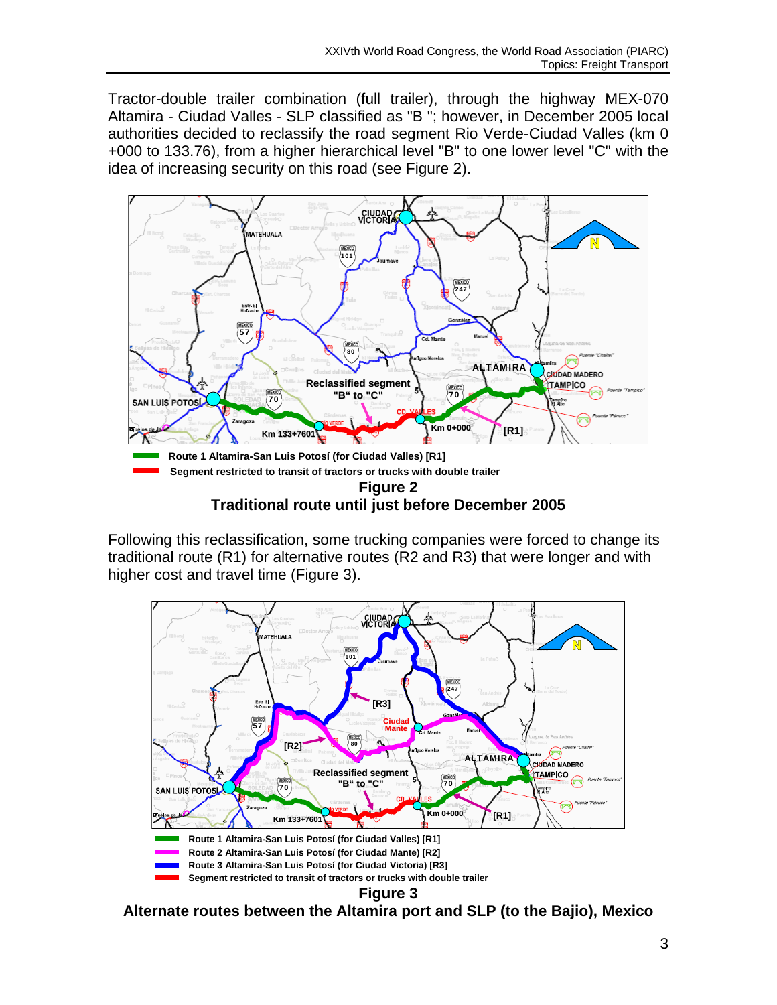Tractor-double trailer combination (full trailer), through the highway MEX-070 Altamira - Ciudad Valles - SLP classified as "B "; however, in December 2005 local authorities decided to reclassify the road segment Rio Verde-Ciudad Valles (km 0 +000 to 133.76), from a higher hierarchical level "B" to one lower level "C" with the idea of increasing security on this road (see Figure 2).



**Traditional route until just before December 2005** 

Following this reclassification, some trucking companies were forced to change its traditional route (R1) for alternative routes (R2 and R3) that were longer and with higher cost and travel time (Figure 3).



**Alternate routes between the Altamira port and SLP (to the Bajio), Mexico**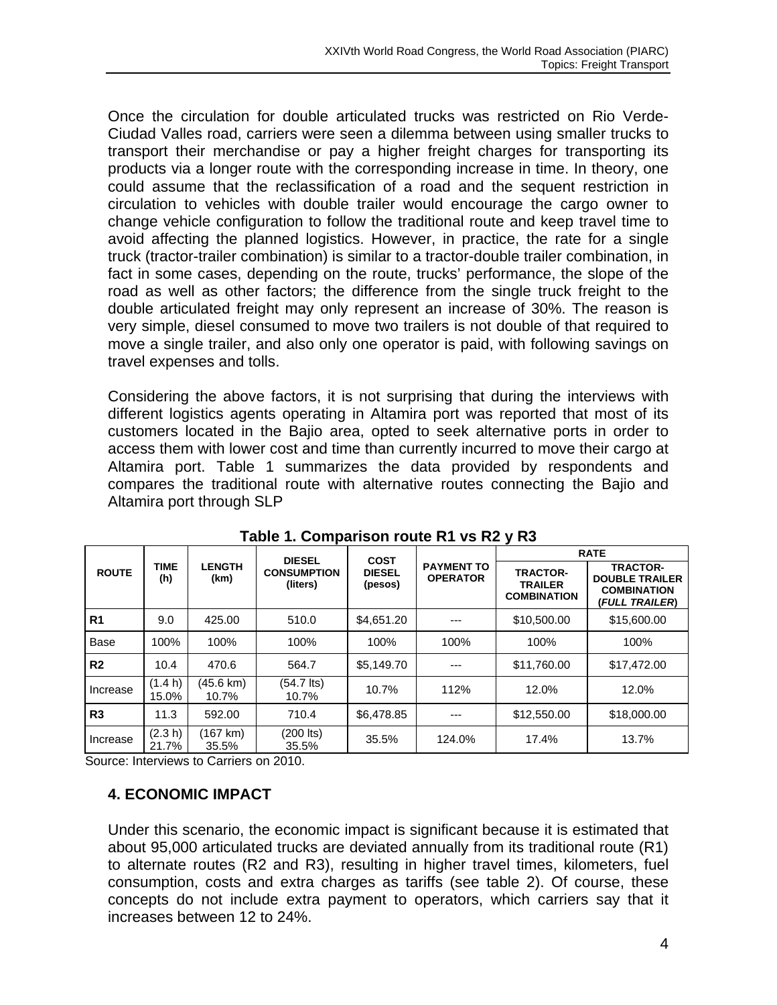Once the circulation for double articulated trucks was restricted on Rio Verde-Ciudad Valles road, carriers were seen a dilemma between using smaller trucks to transport their merchandise or pay a higher freight charges for transporting its products via a longer route with the corresponding increase in time. In theory, one could assume that the reclassification of a road and the sequent restriction in circulation to vehicles with double trailer would encourage the cargo owner to change vehicle configuration to follow the traditional route and keep travel time to avoid affecting the planned logistics. However, in practice, the rate for a single truck (tractor-trailer combination) is similar to a tractor-double trailer combination, in fact in some cases, depending on the route, trucks' performance, the slope of the road as well as other factors; the difference from the single truck freight to the double articulated freight may only represent an increase of 30%. The reason is very simple, diesel consumed to move two trailers is not double of that required to move a single trailer, and also only one operator is paid, with following savings on travel expenses and tolls.

Considering the above factors, it is not surprising that during the interviews with different logistics agents operating in Altamira port was reported that most of its customers located in the Bajio area, opted to seek alternative ports in order to access them with lower cost and time than currently incurred to move their cargo at Altamira port. Table 1 summarizes the data provided by respondents and compares the traditional route with alternative routes connecting the Bajio and Altamira port through SLP

|                |                    |                       | <b>DIESEL</b>                  | <b>COST</b>              |                                      |                                                         | <b>RATE</b>                                                                      |
|----------------|--------------------|-----------------------|--------------------------------|--------------------------|--------------------------------------|---------------------------------------------------------|----------------------------------------------------------------------------------|
| <b>ROUTE</b>   | <b>TIME</b><br>(h) | <b>LENGTH</b><br>(km) | <b>CONSUMPTION</b><br>(liters) | <b>DIESEL</b><br>(pesos) | <b>PAYMENT TO</b><br><b>OPERATOR</b> | <b>TRACTOR-</b><br><b>TRAILER</b><br><b>COMBINATION</b> | <b>TRACTOR-</b><br><b>DOUBLE TRAILER</b><br><b>COMBINATION</b><br>(FULL TRAILER) |
| R <sub>1</sub> | 9.0                | 425.00                | 510.0                          | \$4,651.20               |                                      | \$10,500.00                                             | \$15,600.00                                                                      |
| <b>Base</b>    | 100%               | 100%                  | 100%                           | 100%                     | 100%                                 | 100%                                                    | 100%                                                                             |
| R <sub>2</sub> | 10.4               | 470.6                 | 564.7                          | \$5,149.70               | ---                                  | \$11,760.00                                             | \$17,472.00                                                                      |
| Increase       | (1.4 h)<br>15.0%   | (45.6 km)<br>10.7%    | $(54.7$ lts)<br>10.7%          | 10.7%                    | 112%                                 | 12.0%                                                   | 12.0%                                                                            |
| R3             | 11.3               | 592.00                | 710.4                          | \$6,478.85               | ---                                  | \$12,550.00                                             | \$18,000.00                                                                      |
| Increase       | (2.3 h)<br>21.7%   | (167 km)<br>35.5%     | (200 lts)<br>35.5%             | 35.5%                    | 124.0%                               | 17.4%                                                   | 13.7%                                                                            |

**Table 1. Comparison route R1 vs R2 y R3** 

Source: Interviews to Carriers on 2010.

#### **4. ECONOMIC IMPACT**

Under this scenario, the economic impact is significant because it is estimated that about 95,000 articulated trucks are deviated annually from its traditional route (R1) to alternate routes (R2 and R3), resulting in higher travel times, kilometers, fuel consumption, costs and extra charges as tariffs (see table 2). Of course, these concepts do not include extra payment to operators, which carriers say that it increases between 12 to 24%.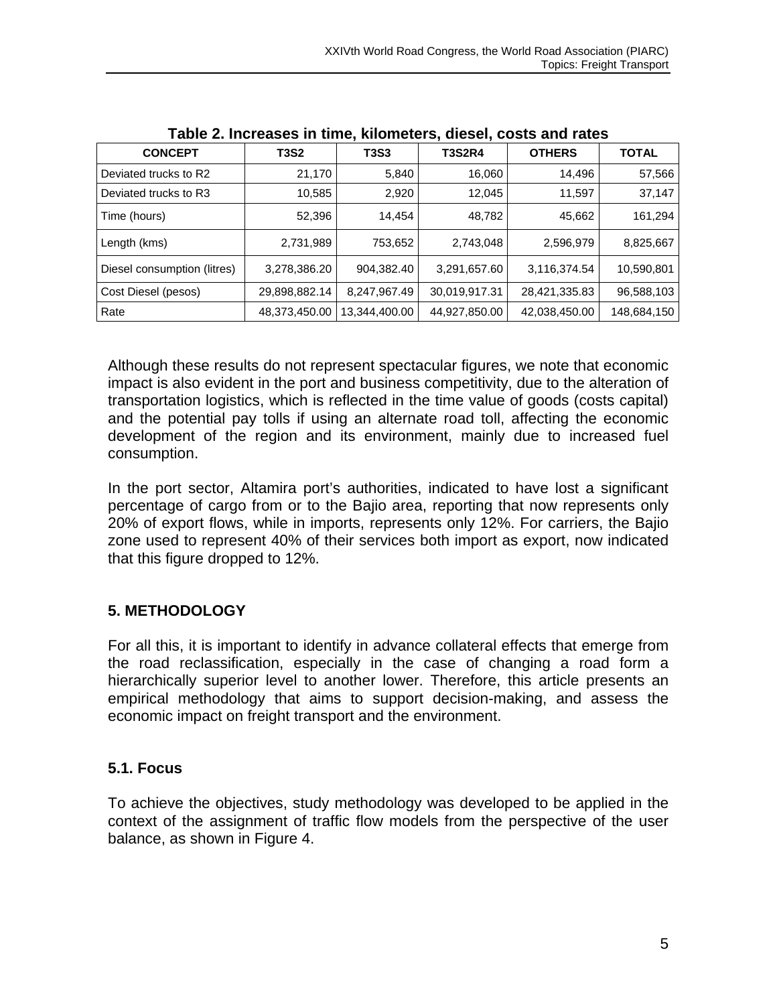| , wwith the compact in this property and the contract with the compact of the compact of the compact of the compa |               |               |               |               |              |  |  |  |  |
|-------------------------------------------------------------------------------------------------------------------|---------------|---------------|---------------|---------------|--------------|--|--|--|--|
| <b>CONCEPT</b>                                                                                                    | <b>T3S2</b>   | <b>T3S3</b>   | <b>T3S2R4</b> | <b>OTHERS</b> | <b>TOTAL</b> |  |  |  |  |
| Deviated trucks to R2                                                                                             | 21,170        | 5,840         | 16,060        | 14,496        | 57,566       |  |  |  |  |
| Deviated trucks to R3                                                                                             | 10,585        | 2,920         | 12,045        | 11,597        | 37,147       |  |  |  |  |
| Time (hours)                                                                                                      | 52,396        | 14,454        | 48,782        | 45,662        | 161,294      |  |  |  |  |
| Length (kms)                                                                                                      | 2,731,989     | 753,652       | 2,743,048     | 2,596,979     | 8,825,667    |  |  |  |  |
| Diesel consumption (litres)                                                                                       | 3,278,386.20  | 904,382.40    | 3,291,657.60  | 3,116,374.54  | 10,590,801   |  |  |  |  |
| Cost Diesel (pesos)                                                                                               | 29,898,882.14 | 8,247,967.49  | 30,019,917.31 | 28,421,335.83 | 96,588,103   |  |  |  |  |
| Rate                                                                                                              | 48,373,450.00 | 13,344,400.00 | 44,927,850.00 | 42,038,450.00 | 148,684,150  |  |  |  |  |

**Table 2. Increases in time, kilometers, diesel, costs and rates** 

Although these results do not represent spectacular figures, we note that economic impact is also evident in the port and business competitivity, due to the alteration of transportation logistics, which is reflected in the time value of goods (costs capital) and the potential pay tolls if using an alternate road toll, affecting the economic development of the region and its environment, mainly due to increased fuel consumption.

In the port sector, Altamira port's authorities, indicated to have lost a significant percentage of cargo from or to the Bajio area, reporting that now represents only 20% of export flows, while in imports, represents only 12%. For carriers, the Bajio zone used to represent 40% of their services both import as export, now indicated that this figure dropped to 12%.

# **5. METHODOLOGY**

For all this, it is important to identify in advance collateral effects that emerge from the road reclassification, especially in the case of changing a road form a hierarchically superior level to another lower. Therefore, this article presents an empirical methodology that aims to support decision-making, and assess the economic impact on freight transport and the environment.

# **5.1. Focus**

To achieve the objectives, study methodology was developed to be applied in the context of the assignment of traffic flow models from the perspective of the user balance, as shown in Figure 4.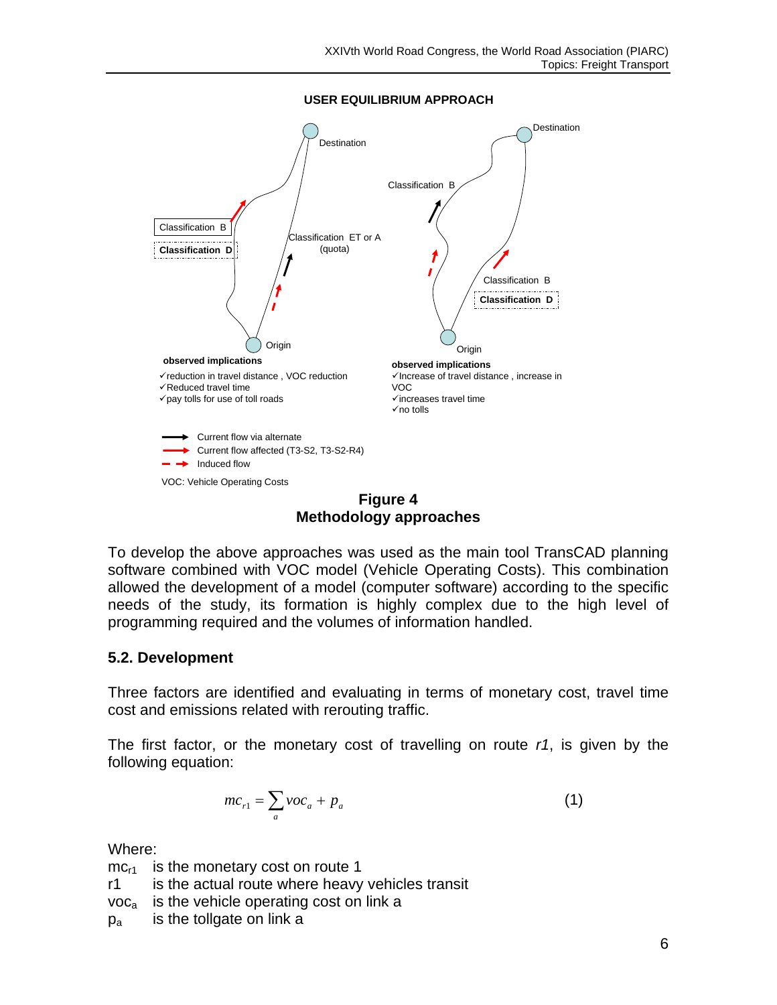**USER EQUILIBRIUM APPROACH**



**Figure 4 Methodology approaches**

To develop the above approaches was used as the main tool TransCAD planning software combined with VOC model (Vehicle Operating Costs). This combination allowed the development of a model (computer software) according to the specific needs of the study, its formation is highly complex due to the high level of programming required and the volumes of information handled.

# **5.2. Development**

Three factors are identified and evaluating in terms of monetary cost, travel time cost and emissions related with rerouting traffic.

The first factor, or the monetary cost of travelling on route *r1*, is given by the following equation:

$$
mc_{r1} = \sum_{a} \nu oc_a + p_a \tag{1}
$$

Where:

 $mc_{r1}$  is the monetary cost on route 1

r1 is the actual route where heavy vehicles transit

 $voc<sub>a</sub>$  is the vehicle operating cost on link a

 $p_a$  is the tollgate on link a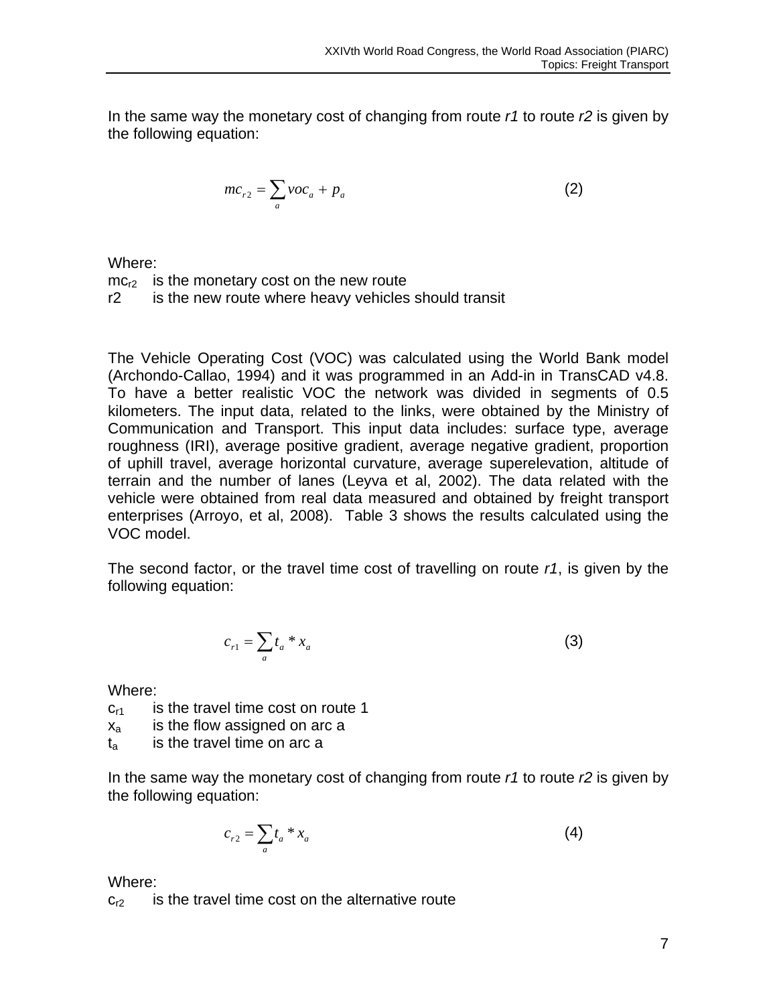In the same way the monetary cost of changing from route *r1* to route *r2* is given by the following equation:

$$
mc_{r2} = \sum_{a} voc_a + p_a \tag{2}
$$

Where:

 $mc<sub>r2</sub>$  is the monetary cost on the new route r2 is the new route where heavy vehicles should transit

The Vehicle Operating Cost (VOC) was calculated using the World Bank model (Archondo-Callao, 1994) and it was programmed in an Add-in in TransCAD v4.8. To have a better realistic VOC the network was divided in segments of 0.5 kilometers. The input data, related to the links, were obtained by the Ministry of Communication and Transport. This input data includes: surface type, average roughness (IRI), average positive gradient, average negative gradient, proportion of uphill travel, average horizontal curvature, average superelevation, altitude of terrain and the number of lanes (Leyva et al, 2002). The data related with the vehicle were obtained from real data measured and obtained by freight transport enterprises (Arroyo, et al, 2008). Table 3 shows the results calculated using the VOC model.

The second factor, or the travel time cost of travelling on route *r1*, is given by the following equation:

$$
c_{r1} = \sum_a t_a * x_a \tag{3}
$$

Where:

 $c_{r1}$  is the travel time cost on route 1

 $x_a$  is the flow assigned on arc a

t<sub>a</sub> is the travel time on arc a

In the same way the monetary cost of changing from route *r1* to route *r2* is given by the following equation:

$$
c_{r2} = \sum_a t_a * x_a \tag{4}
$$

Where:

 $c_{r2}$  is the travel time cost on the alternative route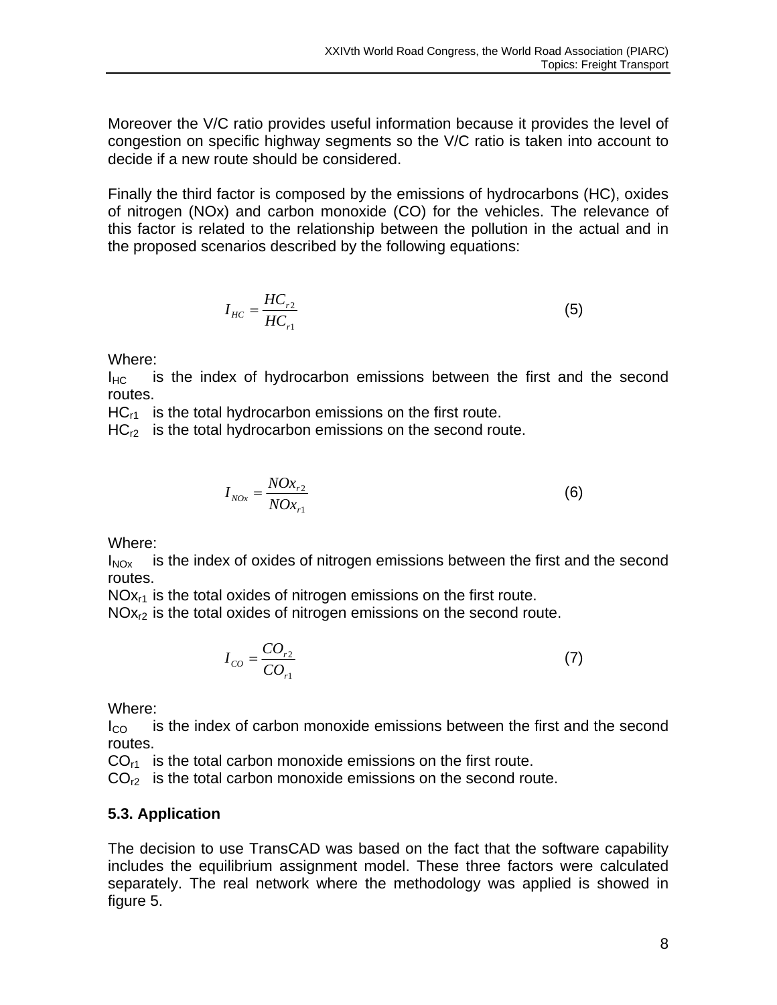Moreover the V/C ratio provides useful information because it provides the level of congestion on specific highway segments so the V/C ratio is taken into account to decide if a new route should be considered.

Finally the third factor is composed by the emissions of hydrocarbons (HC), oxides of nitrogen (NOx) and carbon monoxide (CO) for the vehicles. The relevance of this factor is related to the relationship between the pollution in the actual and in the proposed scenarios described by the following equations:

$$
I_{HC} = \frac{HC_{r2}}{HC_{r1}}
$$
 (5)

Where:

 $I_{HC}$  is the index of hydrocarbon emissions between the first and the second routes.

 $HC_{r1}$  is the total hydrocarbon emissions on the first route.

 $HC<sub>r2</sub>$  is the total hydrocarbon emissions on the second route.

$$
I_{NOx} = \frac{NOx_{r2}}{NOx_{r1}}
$$
 (6)

Where:

 $I_{NOX}$  is the index of oxides of nitrogen emissions between the first and the second routes.

 $NOx_{r1}$  is the total oxides of nitrogen emissions on the first route.

NO<sub>x<sub>r2</sub> is the total oxides of nitrogen emissions on the second route.</sub>

$$
I_{CO} = \frac{CO_{r2}}{CO_{r1}}\tag{7}
$$

Where:

 $I_{\rm CO}$  is the index of carbon monoxide emissions between the first and the second routes.

 $CO<sub>r1</sub>$  is the total carbon monoxide emissions on the first route.

 $CO<sub>12</sub>$  is the total carbon monoxide emissions on the second route.

# **5.3. Application**

The decision to use TransCAD was based on the fact that the software capability includes the equilibrium assignment model. These three factors were calculated separately. The real network where the methodology was applied is showed in figure 5.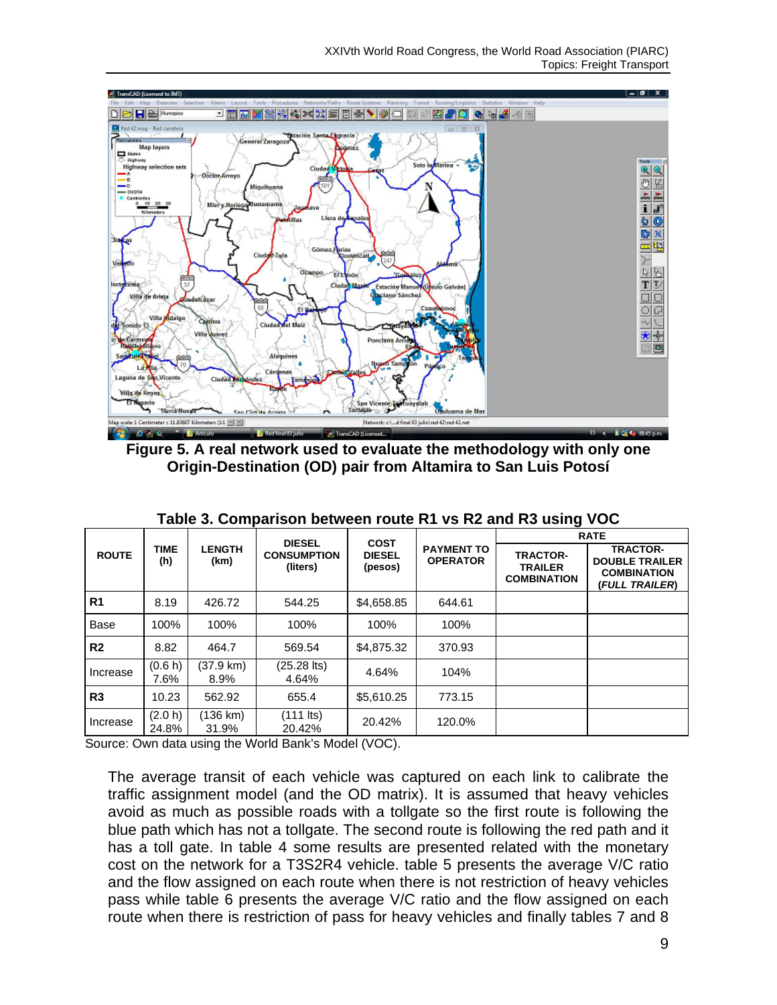

**Figure 5. A real network used to evaluate the methodology with only one Origin-Destination (OD) pair from Altamira to San Luis Potosí** 

|                |                  |                       | <b>DIESEL</b>                  | <b>COST</b>              |                                      |                                                         | <b>RATE</b>                                                                      |
|----------------|------------------|-----------------------|--------------------------------|--------------------------|--------------------------------------|---------------------------------------------------------|----------------------------------------------------------------------------------|
| <b>ROUTE</b>   | TIME<br>(h)      | <b>LENGTH</b><br>(km) | <b>CONSUMPTION</b><br>(liters) | <b>DIESEL</b><br>(pesos) | <b>PAYMENT TO</b><br><b>OPERATOR</b> | <b>TRACTOR-</b><br><b>TRAILER</b><br><b>COMBINATION</b> | <b>TRACTOR-</b><br><b>DOUBLE TRAILER</b><br><b>COMBINATION</b><br>(FULL TRAILER) |
| R <sub>1</sub> | 8.19             | 426.72                | 544.25                         | \$4,658.85               | 644.61                               |                                                         |                                                                                  |
| Base           | 100%             | 100%                  | 100%                           | 100%                     | 100%                                 |                                                         |                                                                                  |
| R <sub>2</sub> | 8.82             | 464.7                 | 569.54                         | \$4,875.32               | 370.93                               |                                                         |                                                                                  |
| Increase       | (0.6 h)<br>7.6%  | (37.9 km)<br>8.9%     | $(25.28$ lts)<br>4.64%         | 4.64%                    | 104%                                 |                                                         |                                                                                  |
| R3             | 10.23            | 562.92                | 655.4                          | \$5,610.25               | 773.15                               |                                                         |                                                                                  |
| Increase       | (2.0 h)<br>24.8% | (136 km)<br>31.9%     | $(111$ lts)<br>20.42%          | 20.42%                   | 120.0%                               |                                                         |                                                                                  |

| Table 3. Comparison between route R1 vs R2 and R3 using VOC |  |  |
|-------------------------------------------------------------|--|--|
|-------------------------------------------------------------|--|--|

Source: Own data using the World Bank's Model (VOC).

The average transit of each vehicle was captured on each link to calibrate the traffic assignment model (and the OD matrix). It is assumed that heavy vehicles avoid as much as possible roads with a tollgate so the first route is following the blue path which has not a tollgate. The second route is following the red path and it has a toll gate. In table 4 some results are presented related with the monetary cost on the network for a T3S2R4 vehicle. table 5 presents the average V/C ratio and the flow assigned on each route when there is not restriction of heavy vehicles pass while table 6 presents the average V/C ratio and the flow assigned on each route when there is restriction of pass for heavy vehicles and finally tables 7 and 8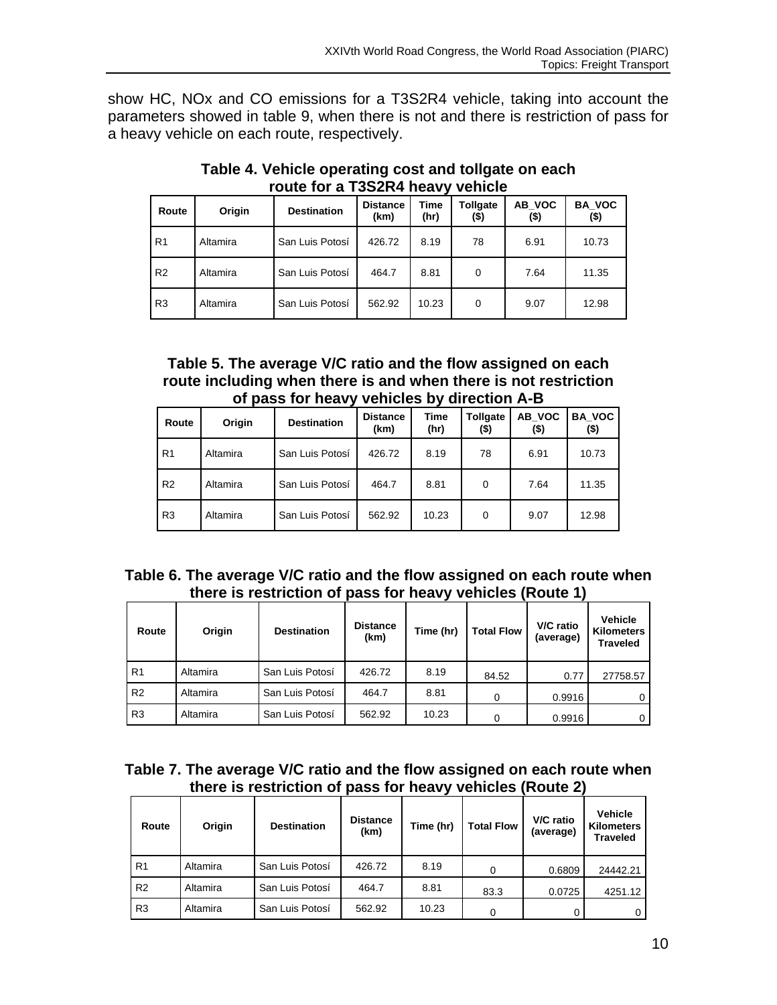show HC, NOx and CO emissions for a T3S2R4 vehicle, taking into account the parameters showed in table 9, when there is not and there is restriction of pass for a heavy vehicle on each route, respectively.

| Route          | Origin   | <b>Destination</b> | <b>Distance</b><br>(km) | Time<br>(hr) | Tollgate<br>(\$) | AB VOC<br>(\$) | <b>BA VOC</b><br>$($ \$) |  |  |  |  |
|----------------|----------|--------------------|-------------------------|--------------|------------------|----------------|--------------------------|--|--|--|--|
| R <sub>1</sub> | Altamira | San Luis Potosí    | 426.72                  | 8.19         | 78               | 6.91           | 10.73                    |  |  |  |  |
| R <sub>2</sub> | Altamira | San Luis Potosí    | 464.7                   | 8.81         | 0                | 7.64           | 11.35                    |  |  |  |  |
| R <sub>3</sub> | Altamira | San Luis Potosí    | 562.92                  | 10.23        | 0                | 9.07           | 12.98                    |  |  |  |  |

**Table 4. Vehicle operating cost and tollgate on each route for a T3S2R4 heavy vehicle** 

### **Table 5. The average V/C ratio and the flow assigned on each route including when there is and when there is not restriction of pass for heavy vehicles by direction A-B**

| Route          | Origin   | <b>Destination</b> | <b>Distance</b><br>(km) | Time<br>(hr) | <b>Tollgate</b><br>(\$) | AB VOC<br>(\$) | <b>BA VOC</b><br>(\$) |
|----------------|----------|--------------------|-------------------------|--------------|-------------------------|----------------|-----------------------|
| R <sub>1</sub> | Altamira | San Luis Potosí    | 426.72                  | 8.19         | 78                      | 6.91           | 10.73                 |
| R <sub>2</sub> | Altamira | San Luis Potosí    | 464.7                   | 8.81         | $\Omega$                | 7.64           | 11.35                 |
| R <sub>3</sub> | Altamira | San Luis Potosí    | 562.92                  | 10.23        | $\Omega$                | 9.07           | 12.98                 |

# **Table 6. The average V/C ratio and the flow assigned on each route when there is restriction of pass for heavy vehicles (Route 1)**

| Route          | Origin   | <b>Destination</b> | <b>Distance</b><br>(km) | Time (hr) | <b>Total Flow</b> | V/C ratio<br>(average) | <b>Vehicle</b><br><b>Kilometers</b><br><b>Traveled</b> |
|----------------|----------|--------------------|-------------------------|-----------|-------------------|------------------------|--------------------------------------------------------|
| R <sub>1</sub> | Altamira | San Luis Potosí    | 426.72                  | 8.19      | 84.52             | 0.77                   | 27758.57                                               |
| R <sub>2</sub> | Altamira | San Luis Potosí    | 464.7                   | 8.81      | 0                 | 0.9916                 | 0                                                      |
| R <sub>3</sub> | Altamira | San Luis Potosí    | 562.92                  | 10.23     | 0                 | 0.9916                 | 0                                                      |

| Table 7. The average V/C ratio and the flow assigned on each route when |  |  |
|-------------------------------------------------------------------------|--|--|
| there is restriction of pass for heavy vehicles (Route 2)               |  |  |

| Route          | Origin   | <b>Destination</b> | <b>Distance</b><br>(km) | Time (hr) | <b>Total Flow</b> | V/C ratio<br>(average) | Vehicle<br><b>Kilometers</b><br><b>Traveled</b> |
|----------------|----------|--------------------|-------------------------|-----------|-------------------|------------------------|-------------------------------------------------|
| R <sub>1</sub> | Altamira | San Luis Potosí    | 426.72                  | 8.19      | 0                 | 0.6809                 | 24442.21                                        |
| R <sub>2</sub> | Altamira | San Luis Potosí    | 464.7                   | 8.81      | 83.3              | 0.0725                 | 4251.12                                         |
| R <sub>3</sub> | Altamira | San Luis Potosí    | 562.92                  | 10.23     | 0                 |                        | $\Omega$                                        |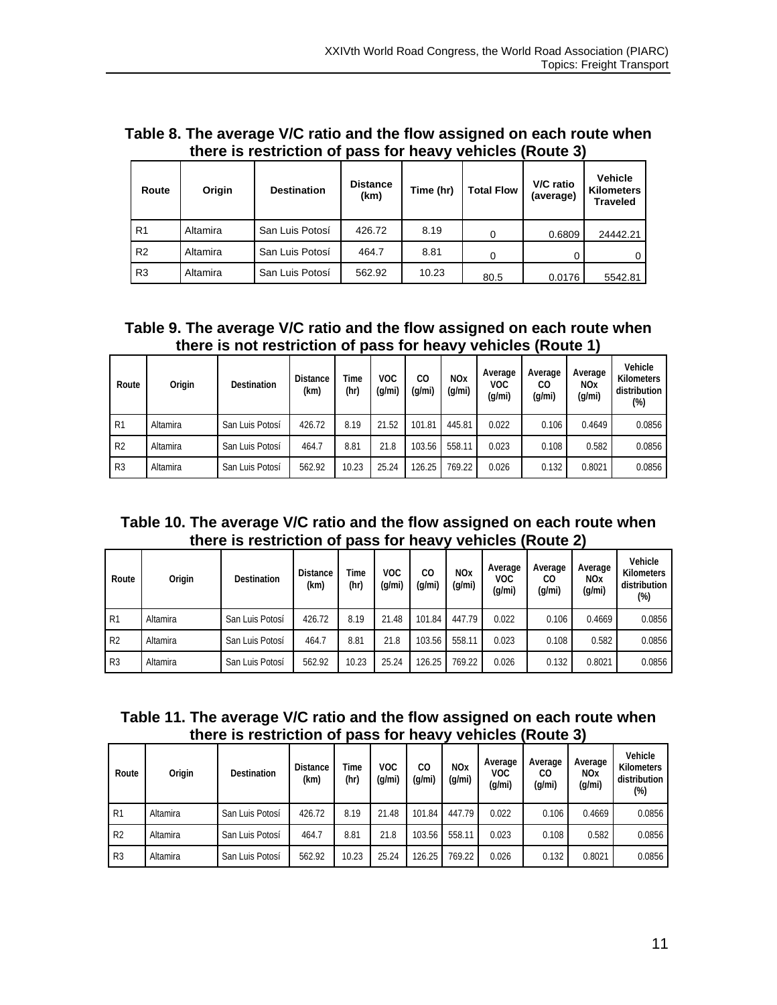| Table 8. The average V/C ratio and the flow assigned on each route when |  |  |
|-------------------------------------------------------------------------|--|--|
| there is restriction of pass for heavy vehicles (Route 3)               |  |  |

| Route          | Origin   | <b>Destination</b> | <b>Distance</b><br>(km) | Time (hr) | <b>Total Flow</b> | V/C ratio<br>(average) | <b>Vehicle</b><br><b>Kilometers</b><br><b>Traveled</b> |
|----------------|----------|--------------------|-------------------------|-----------|-------------------|------------------------|--------------------------------------------------------|
| R <sub>1</sub> | Altamira | San Luis Potosí    | 426.72                  | 8.19      | 0                 | 0.6809                 | 24442.21                                               |
| R <sub>2</sub> | Altamira | San Luis Potosí    | 464.7                   | 8.81      | 0                 |                        | 0                                                      |
| R <sub>3</sub> | Altamira | San Luis Potosí    | 562.92                  | 10.23     | 80.5              | 0.0176                 | 5542.81                                                |

# **Table 9. The average V/C ratio and the flow assigned on each route when there is not restriction of pass for heavy vehicles (Route 1)**

| Route          | Origin   | <b>Destination</b> | <b>Distance</b><br>(km) | Time<br>(hr) | VOC<br>(g/mi) | CO.<br>(g/mi) | <b>NOx</b><br>(g/mi) | Average<br><b>VOC</b><br>(q/mi) | Average<br>CO<br>(q/mi) | Average<br><b>NOx</b><br>(q/mi) | Vehicle<br>Kilometers<br>distribution<br>$(\%)$ |
|----------------|----------|--------------------|-------------------------|--------------|---------------|---------------|----------------------|---------------------------------|-------------------------|---------------------------------|-------------------------------------------------|
| R1             | Altamira | San Luis Potosí    | 426.72                  | 8.19         | 21.52         | 101.81        | 445.81               | 0.022                           | 0.106                   | 0.4649                          | 0.0856                                          |
| R <sub>2</sub> | Altamira | San Luis Potosí    | 464.7                   | 8.81         | 21.8          | 103.56        | 558.11               | 0.023                           | 0.108                   | 0.582                           | 0.0856                                          |
| R <sub>3</sub> | Altamira | San Luis Potosí    | 562.92                  | 10.23        | 25.24         | 126.25        | 769.22               | 0.026                           | 0.132                   | 0.8021                          | 0.0856                                          |

#### **Table 10. The average V/C ratio and the flow assigned on each route when there is restriction of pass for heavy vehicles (Route 2)**   $\overline{\phantom{a}}$

| Route          | Origin   | <b>Destination</b> | <b>Distance</b><br>(km) | Time<br>(hr) | <b>VOC</b><br>(q/mi) | CO.<br>(q/mi) | <b>NO<sub>x</sub></b><br>(g/mi) | Average<br>VOC<br>(q/mi) | Average<br>CО<br>(q/mi) | Average<br><b>NOx</b><br>(q/mi) | Vehicle<br><b>Kilometers</b><br>distribution<br>$(\%)$ |
|----------------|----------|--------------------|-------------------------|--------------|----------------------|---------------|---------------------------------|--------------------------|-------------------------|---------------------------------|--------------------------------------------------------|
| R1             | Altamira | San Luis Potosí    | 426.72                  | 8.19         | 21.48                | 101.84        | 447.79                          | 0.022                    | 0.106                   | 0.4669                          | 0.0856                                                 |
| R <sub>2</sub> | Altamira | San Luis Potosí    | 464.7                   | 8.81         | 21.8                 | 103.56        | 558.11                          | 0.023                    | 0.108                   | 0.582                           | 0.0856                                                 |
| R <sub>3</sub> | Altamira | San Luis Potosí    | 562.92                  | 10.23        | 25.24                | 126.25        | 769.22                          | 0.026                    | 0.132                   | 0.8021                          | 0.0856                                                 |

# **Table 11. The average V/C ratio and the flow assigned on each route when there is restriction of pass for heavy vehicles (Route 3)**

| Route          | Origin   | Destination     | <b>Distance</b><br>(km) | Time<br>(hr) | VOC<br>(g/mi) | CО<br>(q/mi) | <b>NO<sub>x</sub></b><br>(g/mi) | Average<br><b>VOC</b><br>(g/mi) | Average<br>CO<br>(q/mi) | Average<br><b>NOx</b><br>(g/mi) | Vehicle<br><b>Kilometers</b><br>distribution<br>$(\%)$ |
|----------------|----------|-----------------|-------------------------|--------------|---------------|--------------|---------------------------------|---------------------------------|-------------------------|---------------------------------|--------------------------------------------------------|
| R1             | Altamira | San Luis Potosí | 426.72                  | 8.19         | 21.48         | 101.84       | 447.79                          | 0.022                           | 0.106                   | 0.4669                          | 0.0856                                                 |
| R <sub>2</sub> | Altamira | San Luis Potosí | 464.7                   | 8.81         | 21.8          | 103.56       | 558.11                          | 0.023                           | 0.108                   | 0.582                           | 0.0856                                                 |
| R <sub>3</sub> | Altamira | San Luis Potosí | 562.92                  | 10.23        | 25.24         | 126.25       | 769.22                          | 0.026                           | 0.132                   | 0.8021                          | 0.0856                                                 |